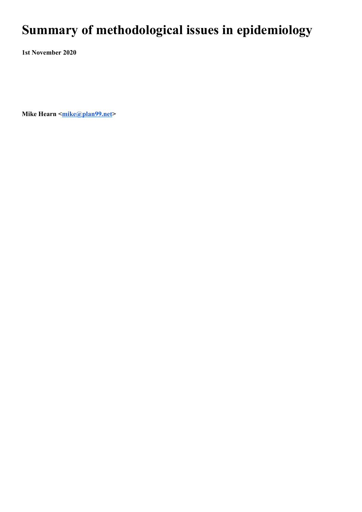## **Summary of methodological issues in epidemiology**

**1st November 2020**

**Mike Hearn**  $\leq$  mike @plan99.net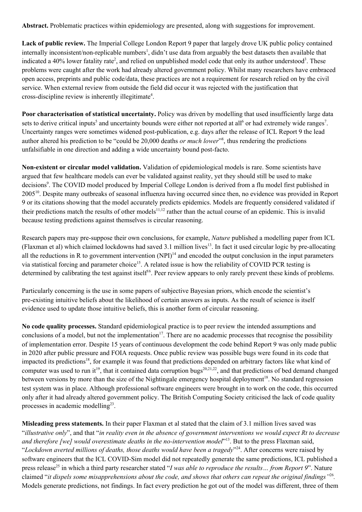**Abstract.** Problematic practices within epidemiology are presented, along with suggestions for improvement.

**Lack of public review.** The Imperial College London Report 9 paper that largely drove UK public policy contained internally inconsistent/non-replicable numbers 1 , didn't use data from arguably the best datasets then available that indicated a 40% lower fatality rate<sup>2</sup>, and relied on unpublished model code that only its author understood<sup>3</sup>. These problems were caught after the work had already altered government policy. Whilst many researchers have embraced open access, preprints and public code/data, these practices are not a requirement for research relied on by the civil service. When external review from outside the field did occur it was rejected with the justification that cross-discipline review is inherently illegitimate 4 .

**Poor characterisation of statistical uncertainty.** Policy was driven by modelling that used insufficiently large data sets to derive critical inputs<sup>5</sup> and uncertainty bounds were either not reported at all<sup>6</sup> or had extremely wide ranges<sup>7</sup>. Uncertainty ranges were sometimes widened post-publication, e.g. days after the release of ICL Report 9 the lead author altered his prediction to be "could be 20,000 deaths *or much lower*" 8 , thus rendering the predictions unfalsifiable in one direction and adding a wide uncertainty bound post-facto.

**Non-existent or circular model validation.** Validation of epidemiological models is rare. Some scientists have argued that few healthcare models can ever be validated against reality, yet they should still be used to make decisions 9 . The COVID model produced by Imperial College London is derived from a flu model first published in 2005<sup>10</sup>. Despite many outbreaks of seasonal influenza having occurred since then, no evidence was provided in Report 9 or its citations showing that the model accurately predicts epidemics. Models are frequently considered validated if their predictions match the results of other models<sup>11,12</sup> rather than the actual course of an epidemic. This is invalid because testing predictions against themselves is circular reasoning.

Research papers may pre-suppose their own conclusions, for example, *Nature* published a modelling paper from ICL (Flaxman et al) which claimed lockdowns had saved 3.1 million lives 13 . In fact it used circular logic by pre-allocating all the reductions in R to government intervention  $(NPI)^{14}$  and encoded the output conclusion in the input parameters via statistical forcing and parameter choice<sup>15</sup>. A related issue is how the reliability of COVID PCR testing is determined by calibrating the test against itself<sup>16</sup>. Peer review appears to only rarely prevent these kinds of problems.

Particularly concerning is the use in some papers of subjective Bayesian priors, which encode the scientist's pre-existing intuitive beliefs about the likelihood of certain answers as inputs. As the result of science is itself evidence used to update those intuitive beliefs, this is another form of circular reasoning.

**No code quality processes.** Standard epidemiological practice is to peer review the intended assumptions and conclusions of a model, but not the implementation<sup>17</sup>. There are no academic processes that recognise the possibility of implementation error. Despite 15 years of continuous development the code behind Report 9 was only made public in 2020 after public pressure and FOIA requests. Once public review was possible bugs were found in its code that impacted its predictions<sup>18</sup>, for example it was found that predictions depended on arbitrary factors like what kind of computer was used to run it<sup>19</sup>, that it contained data corruption bugs<sup>20,21,22</sup>, and that predictions of bed demand changed between versions by more than the size of the Nightingale emergency hospital deployment<sup>18</sup>. No standard regression test system was in place. Although professional software engineers were brought in to work on the code, this occurred only after it had already altered government policy. The British Computing Society criticised the lack of code quality processes in academic modelling<sup>23</sup>.

**Misleading press statements.** In their paper Flaxman et al stated that the claim of 3.1 million lives saved was "illustrative only", and that "in reality even in the absence of government interventions we would expect Rt to decrease *and therefore [we] would overestimate deaths in the no-intervention model*" 13 . But to the press Flaxman said, "*Lockdown averted millions of deaths, those deaths would have been a tragedy*" 24 . After concerns were raised by software engineers that the ICL COVID-Sim model did not repeatedly generate the same predictions, ICL published a press release 25 in which a third party researcher stated "*I was able to reproduce the results… from Report 9*". Nature claimed "it dispels some misapprehensions about the code, and shows that others can repeat the original findings  $\frac{1}{26}$ . Models generate predictions, not findings. In fact every prediction he got out of the model was different, three of them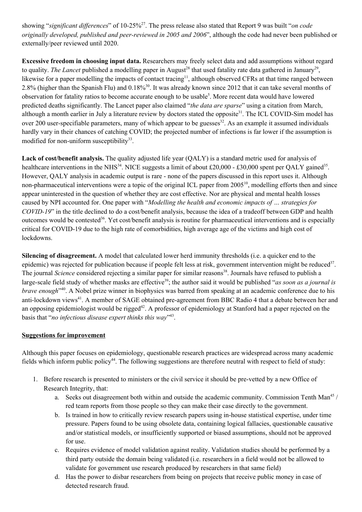showing "significant differences" of 10-25%<sup>27</sup>. The press release also stated that Report 9 was built "*on code originally developed, published and peer-reviewed in 2005 and 2006*", although the code had never been published or externally/peer reviewed until 2020.

**Excessive freedom in choosing input data.** Researchers may freely select data and add assumptions without regard to quality. The Lancet published a modelling paper in August<sup>28</sup> that used fatality rate data gathered in January<sup>29</sup>, likewise for a paper modelling the impacts of contact tracing<sup>11</sup>, although observed CFRs at that time ranged between 2.8% (higher than the Spanish Flu) and 0.18%<sup>30</sup>. It was already known since 2012 that it can take several months of observation for fatality ratios to become accurate enough to be usable 5 . More recent data would have lowered predicted deaths significantly. The Lancet paper also claimed "*the data are sparse*" using a citation from March, although a month earlier in July a literature review by doctors stated the opposite<sup>31</sup>. The ICL COVID-Sim model has over 200 user-specifiable parameters, many of which appear to be guesses<sup>32</sup>. As an example it assumed individuals hardly vary in their chances of catching COVID; the projected number of infections is far lower if the assumption is modified for non-uniform susceptibility<sup>33</sup>.

**Lack of cost/benefit analysis.** The quality adjusted life year (QALY) is a standard metric used for analysis of healthcare interventions in the NHS<sup>34</sup>. NICE suggests a limit of about £20,000 - £30,000 spent per QALY gained<sup>35</sup>. However, QALY analysis in academic output is rare - none of the papers discussed in this report uses it. Although non-pharmaceutical interventions were a topic of the original ICL paper from 2005<sup>10</sup>, modelling efforts then and since appear uninterested in the question of whether they are cost effective. Nor are physical and mental health losses caused by NPI accounted for. One paper with "*Modelling the health and economic impacts of … strategies for COVID-19*" in the title declined to do a cost/benefit analysis, because the idea of a tradeoff between GDP and health outcomes would be contested<sup>36</sup>. Yet cost/benefit analysis is routine for pharmaceutical interventions and is especially critical for COVID-19 due to the high rate of comorbidities, high average age of the victims and high cost of lockdowns.

**Silencing of disagreement.** A model that calculated lower herd immunity thresholds (i.e. a quicker end to the epidemic) was rejected for publication because if people felt less at risk, government intervention might be reduced<sup>37</sup>. The journal *Science* considered rejecting a similar paper for similar reasons<sup>38</sup>. Journals have refused to publish a large-scale field study of whether masks are effective 39 ; the author said it would be published "*as soon as a journal is brave enough*<sup>240</sup>. A Nobel prize winner in biophysics was barred from speaking at an academic conference due to his anti-lockdown views<sup>41</sup>. A member of SAGE obtained pre-agreement from BBC Radio 4 that a debate between her and an opposing epidemiologist would be rigged<sup>42</sup>. A professor of epidemiology at Stanford had a paper rejected on the basis that "*no infectious disease expert thinks this way*" 43 .

## **Suggestions for improvement**

Although this paper focuses on epidemiology, questionable research practices are widespread across many academic fields which inform public policy<sup>44</sup>. The following suggestions are therefore neutral with respect to field of study:

- 1. Before research is presented to ministers or the civil service it should be pre-vetted by a new Office of Research Integrity, that:
	- a. Seeks out disagreement both within and outside the academic community. Commission Tenth Man<sup>45</sup> / red team reports from those people so they can make their case directly to the government.
	- b. Is trained in how to critically review research papers using in-house statistical expertise, under time pressure. Papers found to be using obsolete data, containing logical fallacies, questionable causative and/or statistical models, or insufficiently supported or biased assumptions, should not be approved for use.
	- c. Requires evidence of model validation against reality. Validation studies should be performed by a third party outside the domain being validated (i.e. researchers in a field would not be allowed to validate for government use research produced by researchers in that same field)
	- d. Has the power to disbar researchers from being on projects that receive public money in case of detected research fraud.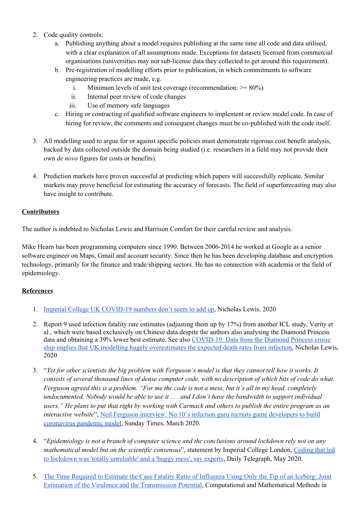- 2. Code quality controls:
	- a. Publishing anything about a model requires publishing at the same time all code and data utilised, with a clear explanation of all assumptions made. Exceptions for datasets licensed from commercial organisations (universities may not sub-license data they collected to get around this requirement).
	- b. Pre-registration of modelling efforts prior to publication, in which commitments to software engineering practices are made, e.g.
		- i. Minimum levels of unit test coverage (recommendation:  $\geq$ = 80%)
		- ii. Internal peer review of code changes
		- iii. Use of memory safe languages
	- c. Hiring or contracting of qualified software engineers to implement or review model code. In case of hiring for review, the comments and consequent changes must be co-published with the code itself.
- 3. All modelling used to argue for or against specific policies must demonstrate rigorous cost benefit analysis, backed by data collected outside the domain being studied (i.e. researchers in a field may not provide their own *de novo* figures for costs or benefits).
- 4. Prediction markets have proven successful at predicting which papers will successfully replicate. Similar markets may prove beneficial for estimating the accuracy of forecasts. The field of superforecasting may also have insight to contribute.

## **Contributors**

The author is indebted to Nicholas Lewis and Harrison Comfort for their careful review and analysis.

Mike Hearn has been programming computers since 1990. Between 2006-2014 he worked at Google as a senior software engineer on Maps, Gmail and account security. Since then he has been developing database and encryption technology, primarily for the finance and trade/shipping sectors. He has no connection with academia or the field of epidemiology.

## **References**

- 1. Imperial College UK [COVID-19](https://www.nicholaslewis.org/imperial-college-uk-covid-19-numbers-dont-seem-to-add-up/) numbers don't seem to add up, Nicholas Lewis, 2020
- 2. Report 9 used infection fatality rate estimates (adjusting them up by 17%) from another ICL study, Verity et al., which were based exclusively on Chinese data despite the authors also analysing the Diamond Princess data and obtaining a 39% lower best estimate. See also [COVID-19:](https://www.nicholaslewis.org/covid-19-updated-data-implies-that-uk-modelling-hugely-overestimates-the-expected-death-rates-from-infection/#_edn6) Data from the Diamond Princess cruise ship implies that UK modelling hugely [overestimates](https://www.nicholaslewis.org/covid-19-updated-data-implies-that-uk-modelling-hugely-overestimates-the-expected-death-rates-from-infection/#_edn6) the expected death rates from infection, Nicholas Lewis, 2020
- 3. "Yet for other scientists the big problem with Ferguson's model is that they cannot tell how it works. It consists of several thousand lines of dense computer code, with no description of which bits of code do what. Ferguson agreed this is a problem. "For me the code is not a mess, but it's all in my head, completely undocumented. Nobody would be able to use it . . . and I don't have the bandwidth to support individual users." He plans to put that right by working with Carmack and others to publish the entire program as an *interactive website*", Neil Ferguson interview: No 10's infection guru recruits game [developers](https://www.thetimes.co.uk/article/neil-ferguson-interview-no-10s-infection-guru-recruits-game-developers-to-build-coronavirus-pandemic-model-zl5rdtjq5) to build [coronavirus](https://www.thetimes.co.uk/article/neil-ferguson-interview-no-10s-infection-guru-recruits-game-developers-to-build-coronavirus-pandemic-model-zl5rdtjq5) pandemic model, Sunday Times, March 2020.
- 4. "*Epidemiology is not a branch of computer science and the conclusions around lockdown rely not on any mathematical model but on the scientific consensus*", statement by Imperial College London, [Coding](https://www.telegraph.co.uk/technology/2020/05/27/computer-modelling-epidemics-must-meet-professional-standards/) that led to lockdown was 'totally [unreliable'](https://www.telegraph.co.uk/technology/2020/05/27/computer-modelling-epidemics-must-meet-professional-standards/) and a 'buggy mess', say experts, Daily Telegraph, May 2020.
- 5. The Time Required to Estimate the Case Fatality Ratio of [Influenza](https://www.ncbi.nlm.nih.gov/pmc/articles/PMC3357941/) Using Only the Tip of an Iceberg: Joint Estimation of the Virulence and the [Transmission](https://www.ncbi.nlm.nih.gov/pmc/articles/PMC3357941/) Potential, Computational and Mathematical Methods in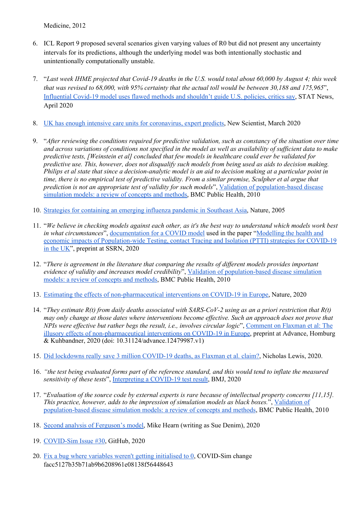Medicine, 2012

- 6. ICL Report 9 proposed several scenarios given varying values of R0 but did not present any uncertainty intervals for its predictions, although the underlying model was both intentionally stochastic and unintentionally computationally unstable.
- 7. "Last week IHME projected that Covid-19 deaths in the U.S. would total about 60,000 by August 4; this week that was revised to 68,000, with 95% certainty that the actual toll would be between  $30,188$  and  $175,965$ ", [Influential](https://www.statnews.com/2020/04/17/influential-covid-19-model-uses-flawed-methods-shouldnt-guide-policies-critics-say/) Covid-19 model uses flawed methods and shouldn't guide U.S. policies, critics say, STAT News, April 2020
- 8. UK has enough intensive care units for [coronavirus,](https://www.newscientist.com/article/2238578-uk-has-enough-intensive-care-units-for-coronavirus-expert-predicts/#ixzz6bt0J0jIS) expert predicts, New Scientist, March 2020
- 9. "After reviewing the conditions required for predictive validation, such as constancy of the situation over time and across variations of conditions not specified in the model as well as availability of sufficient data to make *predictive tests, [Weinstein et al] concluded that few models in healthcare could ever be validated for* predictive use. This, however, does not disqualify such models from being used as aids to decision making. Philips et al state that since a decision-analytic model is an aid to decision making at a particular point in time, there is no empirical test of predictive validity. From a similar premise, Sculpher et al argue that *prediction is not an appropriate test of validity for such models*", Validation of [population-based](https://www.ncbi.nlm.nih.gov/pmc/articles/PMC3001435/) disease [simulation](https://www.ncbi.nlm.nih.gov/pmc/articles/PMC3001435/) models: a review of concepts and methods, BMC Public Health, 2010
- 10. Strategies for [containing](https://pubmed.ncbi.nlm.nih.gov/16079797/) an emerging influenza pandemic in Southeast Asia, Nature, 2005
- 11. "We believe in checking models against each other, as it's the best way to understand which models work best *in* what *circumstances*<sup>"</sup>, <u>[documentation](https://github.com/ptti/ptti/blob/master/README.md) for a COVID model</u> used in the paper "[Modelling](https://github.com/ptti/ptti/raw/master/docs/PTTI-Covid-19-UK.pdf) the health and economic impacts of [Population-wide](https://github.com/ptti/ptti/raw/master/docs/PTTI-Covid-19-UK.pdf) Testing, contact Tracing and Isolation (PTTI) strategies for COVID-19 in the [UK"](https://github.com/ptti/ptti/raw/master/docs/PTTI-Covid-19-UK.pdf), preprint at SSRN, 2020
- 12. "*There is agreement in the literature that comparing the results of dif erent models provides important evidence of validity and increases model credibility*", Validation of [population-based](https://www.ncbi.nlm.nih.gov/pmc/articles/PMC3001435/) disease simulation models: a review of [concepts](https://www.ncbi.nlm.nih.gov/pmc/articles/PMC3001435/) and methods, BMC Public Health, 2010
- 13. Estimating the effects of [non-pharmaceutical](https://www.nature.com/articles/s41586-020-2405-7) interventions on COVID-19 in Europe, Nature, 2020
- 14. "They estimate  $R(t)$  from daily deaths associated with SARS-CoV-2 using as an a priori restriction that  $R(t)$ may only change at those dates where interventions become effective. Such an approach does not prove that *NPIs were ef ective but rather begs the result, i.e., involves circular logic*", [Comment](https://advance.sagepub.com/articles/preprint/Comment_on_Flaxman_et_al_2020_The_illusory_effects_of_non-pharmaceutical_interventions_on_COVID-19_in_Europe/12479987) on Flaxman et al: The illusory effects of [non-pharmaceutical](https://advance.sagepub.com/articles/preprint/Comment_on_Flaxman_et_al_2020_The_illusory_effects_of_non-pharmaceutical_interventions_on_COVID-19_in_Europe/12479987) interventions on COVID-19 in Europe, preprint at Advance, Homburg & Kuhbandner, 2020 (doi: 10.31124/advance.12479987.v1)
- 15. Did lockdowns really save 3 million [COVID-19](https://www.nicholaslewis.org/did-lockdowns-really-save-3-million-covid-19-deaths-as-flaxman-et-al-claim/) deaths, as Flaxman et al. claim?, Nicholas Lewis, 2020.
- 16. "the test being evaluated forms part of the reference standard, and this would tend to inflate the measured *sensitivity of these tests*", [Interpreting](https://www.bmj.com/content/bmj/369/bmj.m1808.full.pdf) a COVID-19 test result, BMJ, 2020
- 17. "Evaluation of the source code by external experts is rare because of intellectual property concerns [11,15]. *This practice, however, adds to the impression of simulation models as black boxes.*", [Validation](https://www.ncbi.nlm.nih.gov/pmc/articles/PMC3001435/) of [population-based](https://www.ncbi.nlm.nih.gov/pmc/articles/PMC3001435/) disease simulation models: a review of concepts and methods, BMC Public Health, 2010
- 18. Second analysis of [Ferguson's](https://lockdownsceptics.org/second-analysis-of-fergusons-model/) model, Mike Hearn (writing as Sue Denim), 2020
- 19. [COVID-Sim](https://github.com/mrc-ide/covid-sim/issues/30) Issue #30, GitHub, 2020
- 20. Fix a bug where variables weren't getting [initialised](https://github.com/mrc-ide/covid-sim/commit/facc5127b35b71ab9b6208961e08138f56448643) to 0, COVID-Sim change facc5127b35b71ab9b6208961e08138f56448643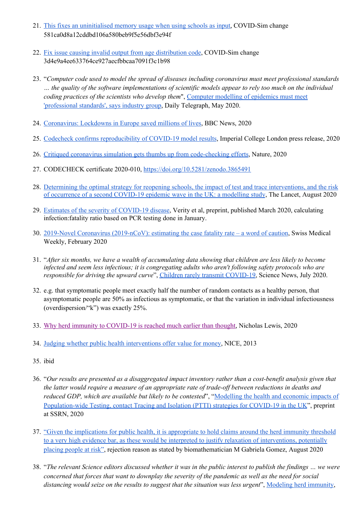- 21. This fixes an [uninitialised](https://github.com/mrc-ide/covid-sim/commit/581ca0d8a12cddbd106a580beb9f5e56dbf3e94f) memory usage when using schools as input, COVID-Sim change 581ca0d8a12cddbd106a580beb9f5e56dbf3e94f
- 22. Fix issue causing invalid output from age [distribution](https://github.com/mrc-ide/covid-sim/commit/3d4e9a4ee633764ce927aecfbbcaa7091f3c1b98) code, COVID-Sim change 3d4e9a4ee633764ce927aecfbbcaa7091f3c1b98
- 23. "*Computer code used to model the spread of diseases including coronavirus must meet professional standards* ... the quality of the software implementations of scientific models appear to rely too much on the individual *coding practices of the scientists who develop them*", Computer [modelling](https://www.telegraph.co.uk/technology/2020/05/27/computer-modelling-epidemics-must-meet-professional-standards/) of epidemics must meet ['professional](https://www.telegraph.co.uk/technology/2020/05/27/computer-modelling-epidemics-must-meet-professional-standards/) standards', says industry group, Daily Telegraph, May 2020.
- 24. [Coronavirus:](https://www.bbc.com/news/health-52968523) Lockdowns in Europe saved millions of lives, BBC News, 2020
- 25. Codecheck confirms [reproducibility](https://www.imperial.ac.uk/news/197875/codecheck-confirms-reproducibility-covid-19-model-results/) of COVID-19 model results, Imperial College London press release, 2020
- 26. Critiqued coronavirus simulation gets thumbs up from [code-checking](https://www.nature.com/articles/d41586-020-01685-y?sf234894565=1) efforts, Nature, 2020
- 27. CODECHECK certificate 2020-010, <https://doi.org/10.5281/zenodo.3865491>
- 28. Determining the optimal strategy for reopening schools, the impact of test and trace [interventions,](https://www.thelancet.com/journals/lanchi/article/PIIS2352-4642(20)30250-9/fulltext) and the risk of occurrence of a second [COVID-19](https://www.thelancet.com/journals/lanchi/article/PIIS2352-4642(20)30250-9/fulltext) epidemic wave in the UK: a modelling study, The Lancet, August 2020
- 29. Estimates of the severity of [COVID-19](https://www.medrxiv.org/content/10.1101/2020.03.09.20033357v1) disease, Verity et al, preprint, published March 2020, calculating infection:fatality ratio based on PCR testing done in January.
- 30. 2019-Novel Coronavirus [\(2019-nCoV\):](https://smw.ch/article/doi/smw.2020.20203) estimating the case fatality rate a word of caution, Swiss Medical Weekly, February 2020
- 31. "After six months, we have a wealth of accumulating data showing that children are less likely to become *infected and seem less infectious; it is congregating adults who aren't following safety protocols who are responsible for driving the upward curve*", Children rarely transmit [COVID-19,](https://www.sciencedaily.com/releases/2020/07/200710100934.htm) Science News, July 2020.
- 32. e.g. that symptomatic people meet exactly half the number of random contacts as a healthy person, that asymptomatic people are 50% as infectious as symptomatic, or that the variation in individual infectiousness (overdispersion/"k") was exactly 25%.
- 33. Why herd immunity to [COVID-19](https://www.nicholaslewis.org/why-herd-immunity-to-covid-19-is-reached-much-earlier-than-thought/) is reached much earlier than thought, Nicholas Lewis, 2020
- 34. Judging whether public health [interventions](https://www.nice.org.uk/Media/Default/guidance/LGB10-Briefing-20150126.pdf) offer value for money, NICE, 2013
- 35. ibid
- 36. "Our results are presented as a disaggregated impact inventory rather than a cost-benefit analysis given that *the latter would require a measure of an appropriate rate of trade-of between reductions in deaths and reduced GDP, which are available but likely to be contested*", ["Modelling](https://github.com/ptti/ptti/raw/master/docs/PTTI-Covid-19-UK.pdf) the health and economic impacts of [Population-wide](https://github.com/ptti/ptti/raw/master/docs/PTTI-Covid-19-UK.pdf) Testing, contact Tracing and Isolation (PTTI) strategies for COVID-19 in the UK", preprint at SSRN, 2020
- 37. "Given the [implications](https://twitter.com/mgmgomes1/status/1291162358962937857) for public health, it is appropriate to hold claims around the herd immunity threshold to a very high evidence bar, as these would be interpreted to justify relaxation of [interventions,](https://twitter.com/mgmgomes1/status/1291162358962937857) potentially [placing](https://twitter.com/mgmgomes1/status/1291162358962937857) people at risk", rejection reason as stated by biomathematician M Gabriela Gomez, August 2020
- 38. "The relevant Science editors discussed whether it was in the public interest to publish the findings ... we were concerned that forces that want to downplay the severity of the pandemic as well as the need for social *distancing would seize on the results to suggest that the situation was less urgent*", [Modeling](https://blogs.sciencemag.org/editors-blog/2020/06/23/modeling-herd-immunity/) herd immunity,